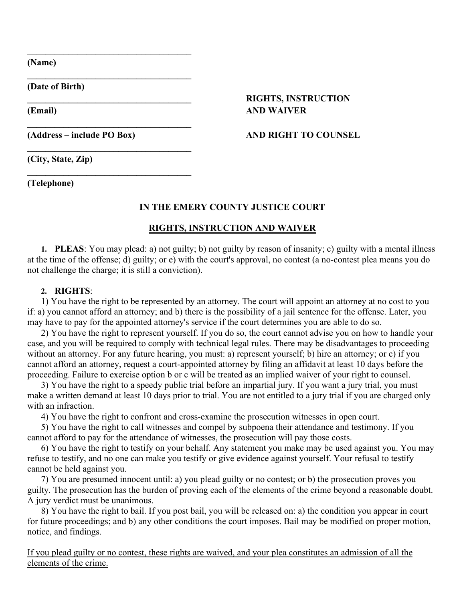**(Name)**

**(Date of Birth)**

## **\_\_\_\_\_\_\_\_\_\_\_\_\_\_\_\_\_\_\_\_\_\_\_\_\_\_\_\_\_\_\_\_\_\_\_\_ RIGHTS, INSTRUCTION (Email) AND WAIVER**

**\_\_\_\_\_\_\_\_\_\_\_\_\_\_\_\_\_\_\_\_\_\_\_\_\_\_\_\_\_\_\_\_\_\_\_\_**

**\_\_\_\_\_\_\_\_\_\_\_\_\_\_\_\_\_\_\_\_\_\_\_\_\_\_\_\_\_\_\_\_\_\_\_\_**

**\_\_\_\_\_\_\_\_\_\_\_\_\_\_\_\_\_\_\_\_\_\_\_\_\_\_\_\_\_\_\_\_\_\_\_\_**

**\_\_\_\_\_\_\_\_\_\_\_\_\_\_\_\_\_\_\_\_\_\_\_\_\_\_\_\_\_\_\_\_\_\_\_\_**

**\_\_\_\_\_\_\_\_\_\_\_\_\_\_\_\_\_\_\_\_\_\_\_\_\_\_\_\_\_\_\_\_\_\_\_\_**

#### **(Address – include PO Box) AND RIGHT TO COUNSEL**

**(City, State, Zip)**

**(Telephone)**

## **IN THE EMERY COUNTY JUSTICE COURT**

## **RIGHTS, INSTRUCTION AND WAIVER**

**1. PLEAS**: You may plead: a) not guilty; b) not guilty by reason of insanity; c) guilty with a mental illness at the time of the offense; d) guilty; or e) with the court's approval, no contest (a no-contest plea means you do not challenge the charge; it is still a conviction).

#### **2. RIGHTS**:

1) You have the right to be represented by an attorney. The court will appoint an attorney at no cost to you if: a) you cannot afford an attorney; and b) there is the possibility of a jail sentence for the offense. Later, you may have to pay for the appointed attorney's service if the court determines you are able to do so.

2) You have the right to represent yourself. If you do so, the court cannot advise you on how to handle your case, and you will be required to comply with technical legal rules. There may be disadvantages to proceeding without an attorney. For any future hearing, you must: a) represent yourself; b) hire an attorney; or c) if you cannot afford an attorney, request a court-appointed attorney by filing an affidavit at least 10 days before the proceeding. Failure to exercise option b or c will be treated as an implied waiver of your right to counsel.

3) You have the right to a speedy public trial before an impartial jury. If you want a jury trial, you must make a written demand at least 10 days prior to trial. You are not entitled to a jury trial if you are charged only with an infraction

4) You have the right to confront and cross-examine the prosecution witnesses in open court.

5) You have the right to call witnesses and compel by subpoena their attendance and testimony. If you cannot afford to pay for the attendance of witnesses, the prosecution will pay those costs.

6) You have the right to testify on your behalf. Any statement you make may be used against you. You may refuse to testify, and no one can make you testify or give evidence against yourself. Your refusal to testify cannot be held against you.

7) You are presumed innocent until: a) you plead guilty or no contest; or b) the prosecution proves you guilty. The prosecution has the burden of proving each of the elements of the crime beyond a reasonable doubt. A jury verdict must be unanimous.

8) You have the right to bail. If you post bail, you will be released on: a) the condition you appear in court for future proceedings; and b) any other conditions the court imposes. Bail may be modified on proper motion, notice, and findings.

If you plead guilty or no contest, these rights are waived, and your plea constitutes an admission of all the elements of the crime.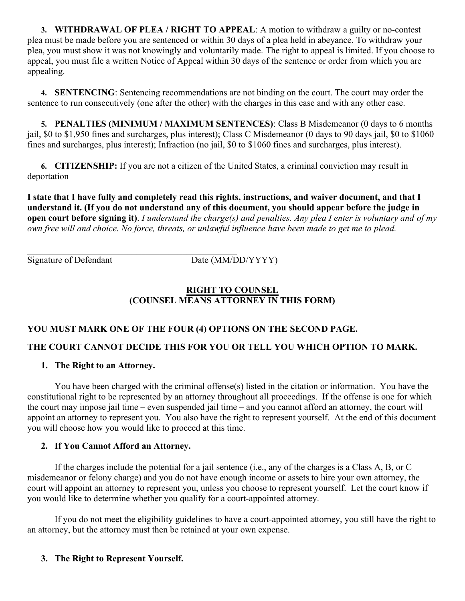**3. WITHDRAWAL OF PLEA / RIGHT TO APPEAL**: A motion to withdraw a guilty or no-contest plea must be made before you are sentenced or within 30 days of a plea held in abeyance. To withdraw your plea, you must show it was not knowingly and voluntarily made. The right to appeal is limited. If you choose to appeal, you must file a written Notice of Appeal within 30 days of the sentence or order from which you are appealing.

**4. SENTENCING**: Sentencing recommendations are not binding on the court. The court may order the sentence to run consecutively (one after the other) with the charges in this case and with any other case.

**5. PENALTIES (MINIMUM / MAXIMUM SENTENCES)**: Class B Misdemeanor (0 days to 6 months jail, \$0 to \$1,950 fines and surcharges, plus interest); Class C Misdemeanor (0 days to 90 days jail, \$0 to \$1060 fines and surcharges, plus interest); Infraction (no jail, \$0 to \$1060 fines and surcharges, plus interest).

**6. CITIZENSHIP:** If you are not a citizen of the United States, a criminal conviction may result in deportation

**I state that I have fully and completely read this rights, instructions, and waiver document, and that I understand it. (If you do not understand any of this document, you should appear before the judge in open court before signing it)**. *I understand the charge(s) and penalties. Any plea I enter is voluntary and of my own free will and choice. No force, threats, or unlawful influence have been made to get me to plead.*

 $\mathcal{L}_\mathcal{L}$  , where  $\mathcal{L}_\mathcal{L}$  is the set of the set of the set of the set of the set of the set of the set of the set of the set of the set of the set of the set of the set of the set of the set of the set of the Signature of Defendant Date (MM/DD/YYYY)

## **RIGHT TO COUNSEL (COUNSEL MEANS ATTORNEY IN THIS FORM)**

# **YOU MUST MARK ONE OF THE FOUR (4) OPTIONS ON THE SECOND PAGE.**

# **THE COURT CANNOT DECIDE THIS FOR YOU OR TELL YOU WHICH OPTION TO MARK.**

#### **1. The Right to an Attorney.**

You have been charged with the criminal offense(s) listed in the citation or information. You have the constitutional right to be represented by an attorney throughout all proceedings. If the offense is one for which the court may impose jail time – even suspended jail time – and you cannot afford an attorney, the court will appoint an attorney to represent you. You also have the right to represent yourself. At the end of this document you will choose how you would like to proceed at this time.

## **2. If You Cannot Afford an Attorney.**

If the charges include the potential for a jail sentence (i.e., any of the charges is a Class A, B, or C misdemeanor or felony charge) and you do not have enough income or assets to hire your own attorney, the court will appoint an attorney to represent you, unless you choose to represent yourself. Let the court know if you would like to determine whether you qualify for a court-appointed attorney.

If you do not meet the eligibility guidelines to have a court-appointed attorney, you still have the right to an attorney, but the attorney must then be retained at your own expense.

## **3. The Right to Represent Yourself.**